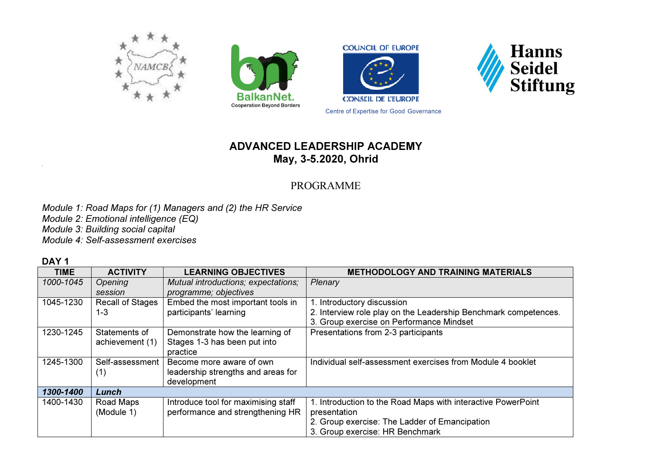





Centre of Expertise for Good Governance



## ADVANCED LEADERSHIP ACADEMY May, 3-5.2020, Ohrid

## PROGRAMME

Module 1: Road Maps for (1) Managers and (2) the HR Service Module 2: Emotional intelligence (EQ) Module 3: Building social capital Module 4: Self-assessment exercises

DAY<sub>1</sub>

| <b>TIME</b> | <b>ACTIVITY</b>         | <b>LEARNING OBJECTIVES</b>          | <b>METHODOLOGY AND TRAINING MATERIALS</b>                       |
|-------------|-------------------------|-------------------------------------|-----------------------------------------------------------------|
| 1000-1045   | Opening                 | Mutual introductions; expectations; | Plenary                                                         |
|             | session                 | programme; objectives               |                                                                 |
| 1045-1230   | <b>Recall of Stages</b> | Embed the most important tools in   | 1. Introductory discussion                                      |
|             | 1-3                     | participants' learning              | 2. Interview role play on the Leadership Benchmark competences. |
|             |                         |                                     | 3. Group exercise on Performance Mindset                        |
| 1230-1245   | Statements of           | Demonstrate how the learning of     | Presentations from 2-3 participants                             |
|             | achievement (1)         | Stages 1-3 has been put into        |                                                                 |
|             |                         | practice                            |                                                                 |
| 1245-1300   | Self-assessment         | Become more aware of own            | Individual self-assessment exercises from Module 4 booklet      |
|             | (1)                     | leadership strengths and areas for  |                                                                 |
|             |                         | development                         |                                                                 |
| 1300-1400   | Lunch                   |                                     |                                                                 |
| 1400-1430   | Road Maps               | Introduce tool for maximising staff | 1. Introduction to the Road Maps with interactive PowerPoint    |
|             | (Module 1)              | performance and strengthening HR    | presentation                                                    |
|             |                         |                                     | 2. Group exercise: The Ladder of Emancipation                   |
|             |                         |                                     | 3. Group exercise: HR Benchmark                                 |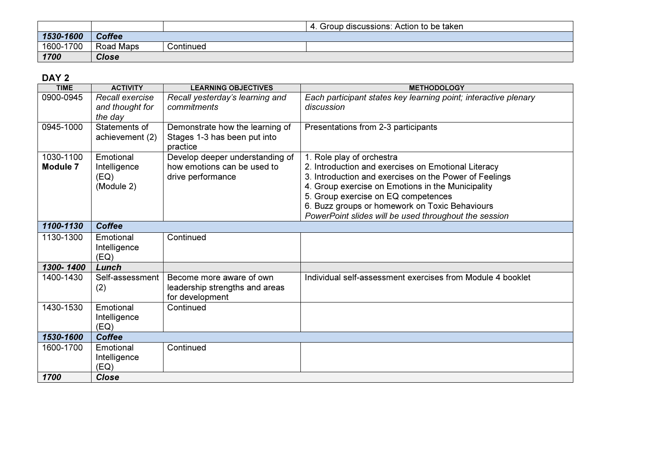|           |                  |           | . Group discussions: Action to be taken |
|-----------|------------------|-----------|-----------------------------------------|
| 1530-1600 | <b>Coffee</b>    |           |                                         |
| 1600-1700 | <b>Road Maps</b> | Continued |                                         |
| 1700      | <b>Close</b>     |           |                                         |

## DAY 2

| <b>TIME</b>                  | <b>ACTIVITY</b>                                 | <b>LEARNING OBJECTIVES</b>                                                          | <b>METHODOLOGY</b>                                                                                                                                                                                                                                                                                                                                |
|------------------------------|-------------------------------------------------|-------------------------------------------------------------------------------------|---------------------------------------------------------------------------------------------------------------------------------------------------------------------------------------------------------------------------------------------------------------------------------------------------------------------------------------------------|
| 0900-0945                    | Recall exercise<br>and thought for<br>the day   | Recall yesterday's learning and<br>commitments                                      | Each participant states key learning point; interactive plenary<br>discussion                                                                                                                                                                                                                                                                     |
| 0945-1000                    | Statements of<br>achievement (2)                | Demonstrate how the learning of<br>Stages 1-3 has been put into<br>practice         | Presentations from 2-3 participants                                                                                                                                                                                                                                                                                                               |
| 1030-1100<br><b>Module 7</b> | Emotional<br>Intelligence<br>(EQ)<br>(Module 2) | Develop deeper understanding of<br>how emotions can be used to<br>drive performance | 1. Role play of orchestra<br>2. Introduction and exercises on Emotional Literacy<br>3. Introduction and exercises on the Power of Feelings<br>4. Group exercise on Emotions in the Municipality<br>5. Group exercise on EQ competences<br>6. Buzz groups or homework on Toxic Behaviours<br>PowerPoint slides will be used throughout the session |
| 1100-1130                    | <b>Coffee</b>                                   |                                                                                     |                                                                                                                                                                                                                                                                                                                                                   |
| 1130-1300                    | Emotional<br>Intelligence<br>(EQ)               | Continued                                                                           |                                                                                                                                                                                                                                                                                                                                                   |
| 1300-1400                    | Lunch                                           |                                                                                     |                                                                                                                                                                                                                                                                                                                                                   |
| 1400-1430                    | Self-assessment<br>(2)                          | Become more aware of own<br>leadership strengths and areas<br>for development       | Individual self-assessment exercises from Module 4 booklet                                                                                                                                                                                                                                                                                        |
| 1430-1530                    | Emotional<br>Intelligence<br>(EQ)               | Continued                                                                           |                                                                                                                                                                                                                                                                                                                                                   |
| 1530-1600                    | <b>Coffee</b>                                   |                                                                                     |                                                                                                                                                                                                                                                                                                                                                   |
| 1600-1700                    | Emotional<br>Intelligence<br>(EQ)               | Continued                                                                           |                                                                                                                                                                                                                                                                                                                                                   |
| 1700                         | <b>Close</b>                                    |                                                                                     |                                                                                                                                                                                                                                                                                                                                                   |